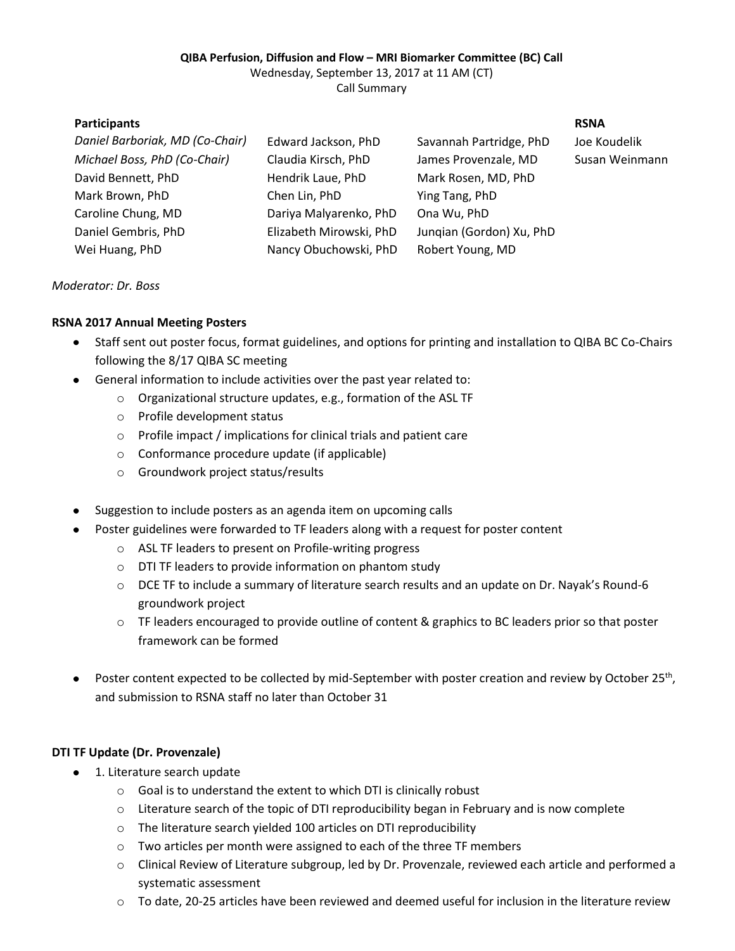#### **QIBA Perfusion, Diffusion and Flow – MRI Biomarker Committee (BC) Call**

Wednesday, September 13, 2017 at 11 AM (CT)

Call Summary

| <b>Participants</b>             |                         |                          | <b>RSNA</b>    |
|---------------------------------|-------------------------|--------------------------|----------------|
| Daniel Barboriak, MD (Co-Chair) | Edward Jackson, PhD     | Savannah Partridge, PhD  | Joe Koudelik   |
| Michael Boss, PhD (Co-Chair)    | Claudia Kirsch, PhD     | James Provenzale, MD     | Susan Weinmann |
| David Bennett, PhD              | Hendrik Laue, PhD       | Mark Rosen, MD, PhD      |                |
| Mark Brown, PhD                 | Chen Lin, PhD           | Ying Tang, PhD           |                |
| Caroline Chung, MD              | Dariya Malyarenko, PhD  | Ona Wu, PhD              |                |
| Daniel Gembris, PhD             | Elizabeth Mirowski, PhD | Jungian (Gordon) Xu, PhD |                |
| Wei Huang, PhD                  | Nancy Obuchowski, PhD   | Robert Young, MD         |                |
|                                 |                         |                          |                |

#### *Moderator: Dr. Boss*

## **RSNA 2017 Annual Meeting Posters**

- Staff sent out poster focus, format guidelines, and options for printing and installation to QIBA BC Co-Chairs following the 8/17 QIBA SC meeting
- General information to include activities over the past year related to:
	- o Organizational structure updates, e.g., formation of the ASL TF
	- o Profile development status
	- o Profile impact / implications for clinical trials and patient care
	- o Conformance procedure update (if applicable)
	- o Groundwork project status/results
- Suggestion to include posters as an agenda item on upcoming calls
- Poster guidelines were forwarded to TF leaders along with a request for poster content
	- o ASL TF leaders to present on Profile-writing progress
	- o DTI TF leaders to provide information on phantom study
	- o DCE TF to include a summary of literature search results and an update on Dr. Nayak's Round-6 groundwork project
	- $\circ$  TF leaders encouraged to provide outline of content & graphics to BC leaders prior so that poster framework can be formed
- Poster content expected to be collected by mid-September with poster creation and review by October 25<sup>th</sup>, and submission to RSNA staff no later than October 31

## **DTI TF Update (Dr. Provenzale)**

- 1. Literature search update
	- o Goal is to understand the extent to which DTI is clinically robust
	- o Literature search of the topic of DTI reproducibility began in February and is now complete
	- o The literature search yielded 100 articles on DTI reproducibility
	- o Two articles per month were assigned to each of the three TF members
	- o Clinical Review of Literature subgroup, led by Dr. Provenzale, reviewed each article and performed a systematic assessment
	- o To date, 20-25 articles have been reviewed and deemed useful for inclusion in the literature review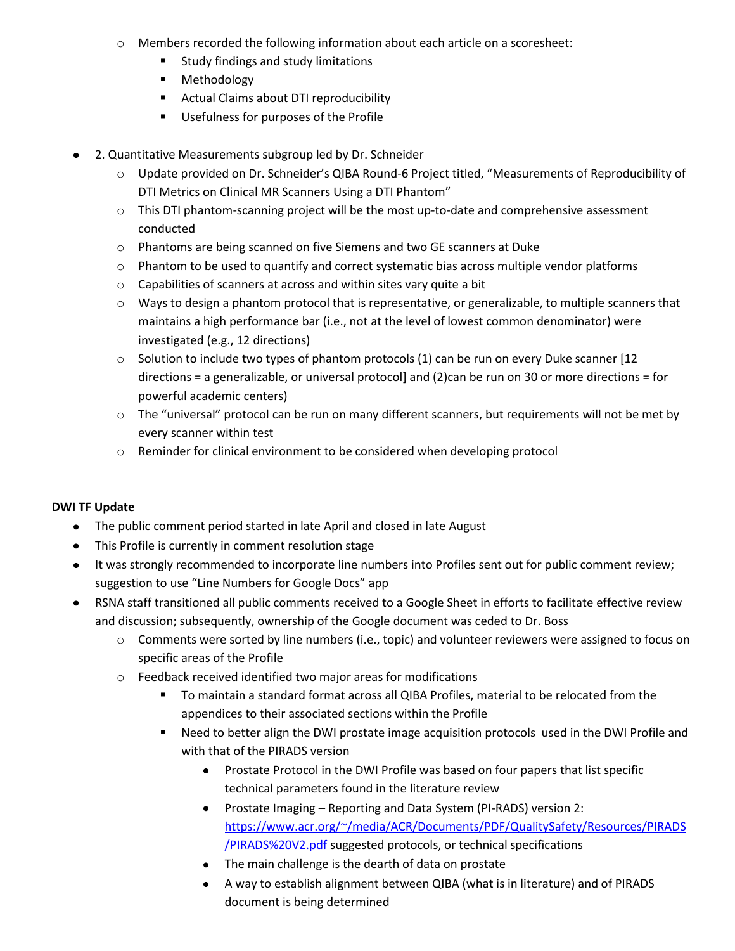- o Members recorded the following information about each article on a scoresheet:
	- **EXTEN** Study findings and study limitations
	- **Methodology**
	- **Actual Claims about DTI reproducibility**
	- Usefulness for purposes of the Profile
- $\bullet$ 2. Quantitative Measurements subgroup led by Dr. Schneider
	- o Update provided on Dr. Schneider's QIBA Round-6 Project titled, "Measurements of Reproducibility of DTI Metrics on Clinical MR Scanners Using a DTI Phantom"
	- o This DTI phantom-scanning project will be the most up-to-date and comprehensive assessment conducted
	- o Phantoms are being scanned on five Siemens and two GE scanners at Duke
	- o Phantom to be used to quantify and correct systematic bias across multiple vendor platforms
	- o Capabilities of scanners at across and within sites vary quite a bit
	- o Ways to design a phantom protocol that is representative, or generalizable, to multiple scanners that maintains a high performance bar (i.e., not at the level of lowest common denominator) were investigated (e.g., 12 directions)
	- o Solution to include two types of phantom protocols (1) can be run on every Duke scanner [12 directions = a generalizable, or universal protocol] and (2)can be run on 30 or more directions = for powerful academic centers)
	- o The "universal" protocol can be run on many different scanners, but requirements will not be met by every scanner within test
	- o Reminder for clinical environment to be considered when developing protocol

## **DWI TF Update**

- The public comment period started in late April and closed in late August
- This Profile is currently in comment resolution stage
- It was strongly recommended to incorporate line numbers into Profiles sent out for public comment review; suggestion to use "Line Numbers for Google Docs" app
- RSNA staff transitioned all public comments received to a Google Sheet in efforts to facilitate effective review  $\bullet$ and discussion; subsequently, ownership of the Google document was ceded to Dr. Boss
	- o Comments were sorted by line numbers (i.e., topic) and volunteer reviewers were assigned to focus on specific areas of the Profile
	- o Feedback received identified two major areas for modifications
		- To maintain a standard format across all QIBA Profiles, material to be relocated from the appendices to their associated sections within the Profile
		- Need to better align the DWI prostate image acquisition protocols used in the DWI Profile and with that of the PIRADS version
			- Prostate Protocol in the DWI Profile was based on four papers that list specific technical parameters found in the literature review
			- Prostate Imaging Reporting and Data System (PI-RADS) version 2: [https://www.acr.org/~/media/ACR/Documents/PDF/QualitySafety/Resources/PIRADS](https://www.acr.org/~/media/ACR/Documents/PDF/QualitySafety/Resources/PIRADS/PIRADS%20V2.pdf) [/PIRADS%20V2.pdf](https://www.acr.org/~/media/ACR/Documents/PDF/QualitySafety/Resources/PIRADS/PIRADS%20V2.pdf) suggested protocols, or technical specifications
			- The main challenge is the dearth of data on prostate
			- A way to establish alignment between QIBA (what is in literature) and of PIRADS document is being determined